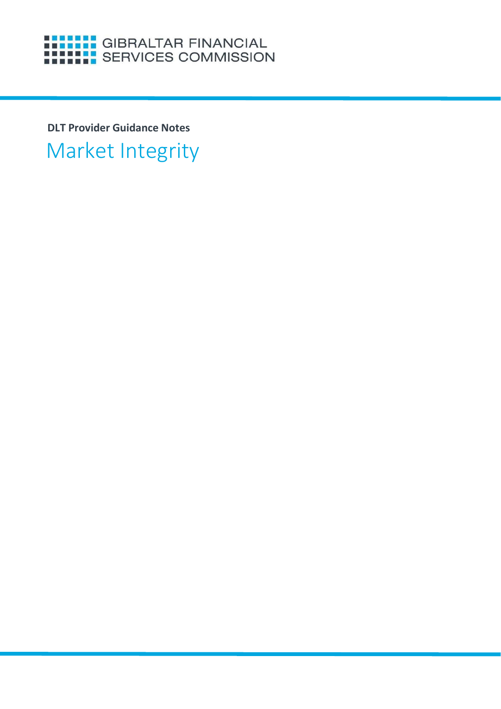# **HELLE GIBRALTAR FINANCIAL**<br>HELLE SERVICES COMMISSION

**DLT Provider Guidance Notes**

Market Integrity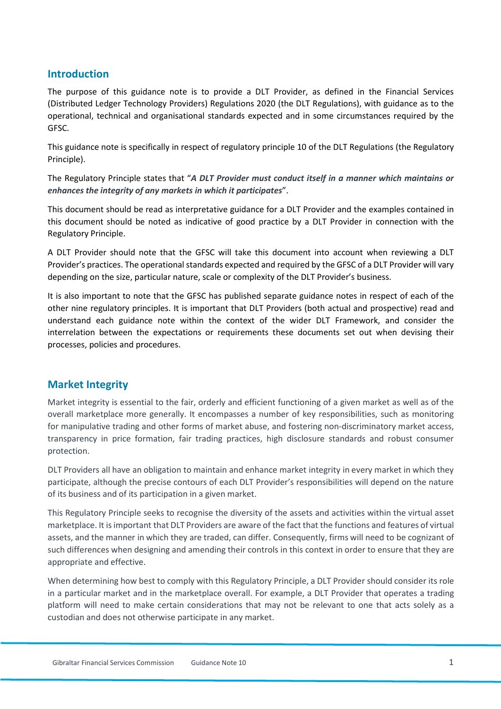## **Introduction**

The purpose of this guidance note is to provide a DLT Provider, as defined in the Financial Services (Distributed Ledger Technology Providers) Regulations 2020 (the DLT Regulations), with guidance as to the operational, technical and organisational standards expected and in some circumstances required by the GFSC.

This guidance note is specifically in respect of regulatory principle 10 of the DLT Regulations (the Regulatory Principle).

The Regulatory Principle states that "*A DLT Provider must conduct itself in a manner which maintains or enhances the integrity of any markets in which it participates*".

This document should be read as interpretative guidance for a DLT Provider and the examples contained in this document should be noted as indicative of good practice by a DLT Provider in connection with the Regulatory Principle.

A DLT Provider should note that the GFSC will take this document into account when reviewing a DLT Provider's practices. The operational standards expected and required by the GFSC of a DLT Provider will vary depending on the size, particular nature, scale or complexity of the DLT Provider's business.

It is also important to note that the GFSC has published separate guidance notes in respect of each of the other nine regulatory principles. It is important that DLT Providers (both actual and prospective) read and understand each guidance note within the context of the wider DLT Framework, and consider the interrelation between the expectations or requirements these documents set out when devising their processes, policies and procedures.

## **Market Integrity**

Market integrity is essential to the fair, orderly and efficient functioning of a given market as well as of the overall marketplace more generally. It encompasses a number of key responsibilities, such as monitoring for manipulative trading and other forms of market abuse, and fostering non-discriminatory market access, transparency in price formation, fair trading practices, high disclosure standards and robust consumer protection.

DLT Providers all have an obligation to maintain and enhance market integrity in every market in which they participate, although the precise contours of each DLT Provider's responsibilities will depend on the nature of its business and of its participation in a given market.

This Regulatory Principle seeks to recognise the diversity of the assets and activities within the virtual asset marketplace. It is important that DLT Providers are aware of the fact that the functions and features of virtual assets, and the manner in which they are traded, can differ. Consequently, firms will need to be cognizant of such differences when designing and amending their controls in this context in order to ensure that they are appropriate and effective.

When determining how best to comply with this Regulatory Principle, a DLT Provider should consider its role in a particular market and in the marketplace overall. For example, a DLT Provider that operates a trading platform will need to make certain considerations that may not be relevant to one that acts solely as a custodian and does not otherwise participate in any market.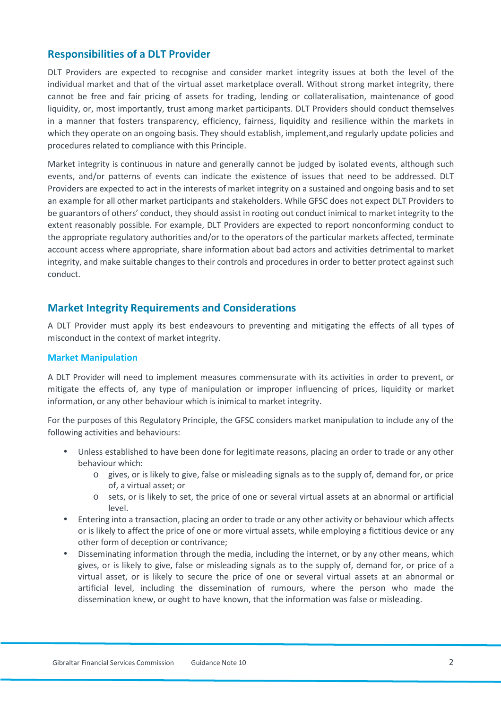## **Responsibilities of a DLT Provider**

DLT Providers are expected to recognise and consider market integrity issues at both the level of the individual market and that of the virtual asset marketplace overall. Without strong market integrity, there cannot be free and fair pricing of assets for trading, lending or collateralisation, maintenance of good liquidity, or, most importantly, trust among market participants. DLT Providers should conduct themselves in a manner that fosters transparency, efficiency, fairness, liquidity and resilience within the markets in which they operate on an ongoing basis. They should establish, implement, and regularly update policies and procedures related to compliance with this Principle.

Market integrity is continuous in nature and generally cannot be judged by isolated events, although such events, and/or patterns of events can indicate the existence of issues that need to be addressed. DLT Providers are expected to act in the interests of market integrity on a sustained and ongoing basis and to set an example for all other market participants and stakeholders. While GFSC does not expect DLT Providers to be guarantors of others' conduct, they should assist in rooting out conduct inimical to market integrity to the extent reasonably possible. For example, DLT Providers are expected to report nonconforming conduct to the appropriate regulatory authorities and/or to the operators of the particular markets affected, terminate account access where appropriate, share information about bad actors and activities detrimental to market integrity, and make suitable changes to their controls and procedures in order to better protect against such conduct.

## **Market Integrity Requirements and Considerations**

A DLT Provider must apply its best endeavours to preventing and mitigating the effects of all types of misconduct in the context of market integrity.

#### **Market Manipulation**

A DLT Provider will need to implement measures commensurate with its activities in order to prevent, or mitigate the effects of, any type of manipulation or improper influencing of prices, liquidity or market information, or any other behaviour which is inimical to market integrity.

For the purposes of this Regulatory Principle, the GFSC considers market manipulation to include any of the following activities and behaviours:

- Unless established to have been done for legitimate reasons, placing an order to trade or any other behaviour which:
	- o gives, or is likely to give, false or misleading signals as to the supply of, demand for, or price of, a virtual asset; or
	- o sets, or is likely to set, the price of one or several virtual assets at an abnormal or artificial level.
- Entering into a transaction, placing an order to trade or any other activity or behaviour which affects or is likely to affect the price of one or more virtual assets, while employing a fictitious device or any other form of deception or contrivance;
- Disseminating information through the media, including the internet, or by any other means, which gives, or is likely to give, false or misleading signals as to the supply of, demand for, or price of a virtual asset, or is likely to secure the price of one or several virtual assets at an abnormal or artificial level, including the dissemination of rumours, where the person who made the dissemination knew, or ought to have known, that the information was false or misleading.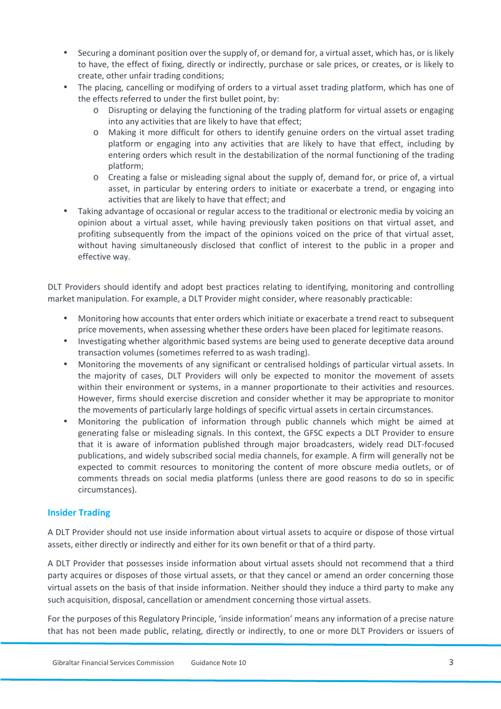- Securing a dominant position over the supply of, or demand for, a virtual asset, which has, or is likely to have, the effect of fixing, directly or indirectly, purchase or sale prices, or creates, or is likely to create, other unfair trading conditions;
- The placing, cancelling or modifying of orders to a virtual asset trading platform, which has one of the effects referred to under the first bullet point, by:
	- o Disrupting or delaying the functioning of the trading platform for virtual assets or engaging into any activities that are likely to have that effect;
	- o Making it more difficult for others to identify genuine orders on the virtual asset trading platform or engaging into any activities that are likely to have that effect, including by entering orders which result in the destabilization of the normal functioning of the trading platform;
	- o Creating a false or misleading signal about the supply of, demand for, or price of, a virtual asset, in particular by entering orders to initiate or exacerbate a trend, or engaging into activities that are likely to have that effect; and
- Taking advantage of occasional or regular access to the traditional or electronic media by voicing an opinion about a virtual asset, while having previously taken positions on that virtual asset, and profiting subsequently from the impact of the opinions voiced on the price of that virtual asset, without having simultaneously disclosed that conflict of interest to the public in a proper and effective way.

DLT Providers should identify and adopt best practices relating to identifying, monitoring and controlling market manipulation. For example, a DLT Provider might consider, where reasonably practicable:

- Monitoring how accounts that enter orders which initiate or exacerbate a trend react to subsequent price movements, when assessing whether these orders have been placed for legitimate reasons.
- Investigating whether algorithmic based systems are being used to generate deceptive data around transaction volumes (sometimes referred to as wash trading).
- Monitoring the movements of any significant or centralised holdings of particular virtual assets. In the majority of cases, DLT Providers will only be expected to monitor the movement of assets within their environment or systems, in a manner proportionate to their activities and resources. However, firms should exercise discretion and consider whether it may be appropriate to monitor the movements of particularly large holdings of specific virtual assets in certain circumstances.
- Monitoring the publication of information through public channels which might be aimed at generating false or misleading signals. In this context, the GFSC expects a DLT Provider to ensure that it is aware of information published through major broadcasters, widely read DLT-focused publications, and widely subscribed social media channels, for example. A firm will generally not be expected to commit resources to monitoring the content of more obscure media outlets, or of comments threads on social media platforms (unless there are good reasons to do so in specific circumstances).

#### **Insider Trading**

A DLT Provider should not use inside information about virtual assets to acquire or dispose of those virtual assets, either directly or indirectly and either for its own benefit or that of a third party.

A DLT Provider that possesses inside information about virtual assets should not recommend that a third party acquires or disposes of those virtual assets, or that they cancel or amend an order concerning those virtual assets on the basis of that inside information. Neither should they induce a third party to make any such acquisition, disposal, cancellation or amendment concerning those virtual assets.

For the purposes of this Regulatory Principle, 'inside information' means any information of a precise nature that has not been made public, relating, directly or indirectly, to one or more DLT Providers or issuers of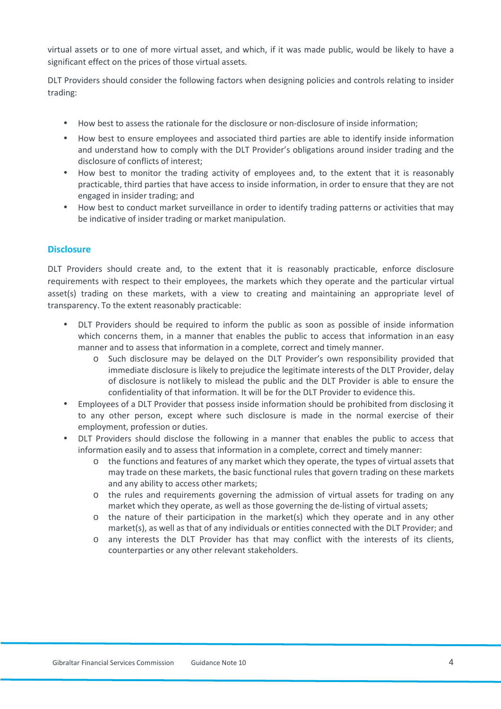virtual assets or to one of more virtual asset, and which, if it was made public, would be likely to have a significant effect on the prices of those virtual assets.

DLT Providers should consider the following factors when designing policies and controls relating to insider trading:

- How best to assess the rationale for the disclosure or non-disclosure of inside information;
- How best to ensure employees and associated third parties are able to identify inside information and understand how to comply with the DLT Provider's obligations around insider trading and the disclosure of conflicts of interest;
- How best to monitor the trading activity of employees and, to the extent that it is reasonably practicable, third parties that have access to inside information, in order to ensure that they are not engaged in insider trading; and
- How best to conduct market surveillance in order to identify trading patterns or activities that may be indicative of insider trading or market manipulation.

#### **Disclosure**

DLT Providers should create and, to the extent that it is reasonably practicable, enforce disclosure requirements with respect to their employees, the markets which they operate and the particular virtual asset(s) trading on these markets, with a view to creating and maintaining an appropriate level of transparency. To the extent reasonably practicable:

- DLT Providers should be required to inform the public as soon as possible of inside information which concerns them, in a manner that enables the public to access that information in an easy manner and to assess that information in a complete, correct and timely manner.
	- o Such disclosure may be delayed on the DLT Provider's own responsibility provided that immediate disclosure is likely to prejudice the legitimate interests of the DLT Provider, delay of disclosure is not likely to mislead the public and the DLT Provider is able to ensure the confidentiality of that information. It will be for the DLT Provider to evidence this.
- Employees of a DLT Provider that possess inside information should be prohibited from disclosing it to any other person, except where such disclosure is made in the normal exercise of their employment, profession or duties.
- DLT Providers should disclose the following in a manner that enables the public to access that information easily and to assess that information in a complete, correct and timely manner:
	- o the functions and features of any market which they operate, the types of virtual assets that may trade on these markets, the basic functional rules that govern trading on these markets and any ability to access other markets;
	- o the rules and requirements governing the admission of virtual assets for trading on any market which they operate, as well as those governing the de-listing of virtual assets;
	- o the nature of their participation in the market(s) which they operate and in any other market(s), as well as that of any individuals or entities connected with the DLT Provider; and
	- o any interests the DLT Provider has that may conflict with the interests of its clients, counterparties or any other relevant stakeholders.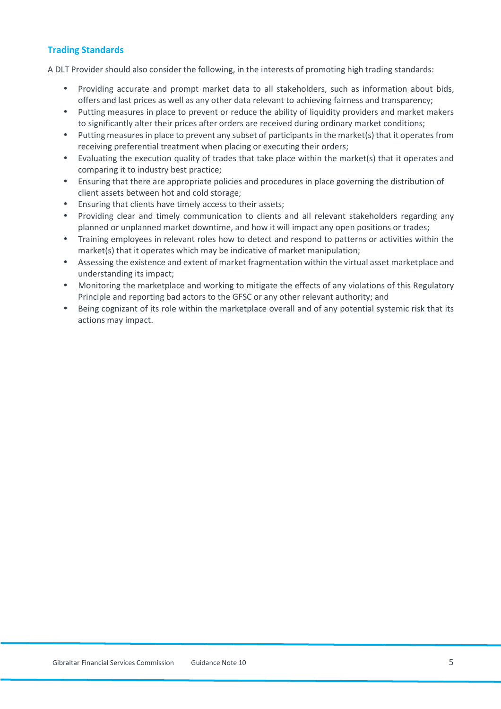#### **Trading Standards**

A DLT Provider should also consider the following, in the interests of promoting high trading standards:

- Providing accurate and prompt market data to all stakeholders, such as information about bids, offers and last prices as well as any other data relevant to achieving fairness and transparency;
- Putting measures in place to prevent or reduce the ability of liquidity providers and market makers to significantly alter their prices after orders are received during ordinary market conditions;
- Putting measures in place to prevent any subset of participants in the market(s) that it operates from receiving preferential treatment when placing or executing their orders;
- Evaluating the execution quality of trades that take place within the market(s) that it operates and comparing it to industry best practice;
- Ensuring that there are appropriate policies and procedures in place governing the distribution of client assets between hot and cold storage;
- Ensuring that clients have timely access to their assets;
- Providing clear and timely communication to clients and all relevant stakeholders regarding any planned or unplanned market downtime, and how it will impact any open positions or trades;
- Training employees in relevant roles how to detect and respond to patterns or activities within the market(s) that it operates which may be indicative of market manipulation;
- Assessing the existence and extent of market fragmentation within the virtual asset marketplace and understanding its impact;
- Monitoring the marketplace and working to mitigate the effects of any violations of this Regulatory Principle and reporting bad actors to the GFSC or any other relevant authority; and
- Being cognizant of its role within the marketplace overall and of any potential systemic risk that its actions may impact.